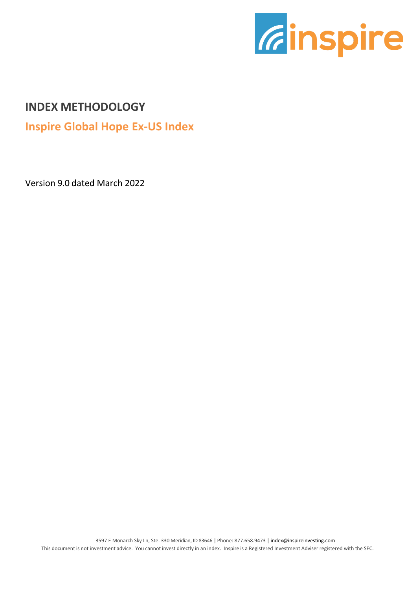

### **INDEX METHODOLOGY**

**Inspire Global Hope Ex-US Index**

Version 9.0 dated March 2022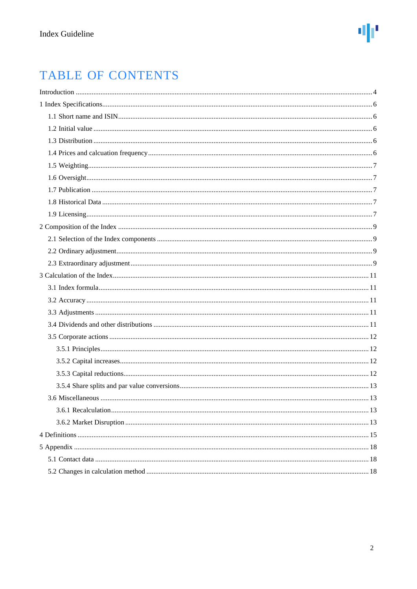## TABLE OF CONTENTS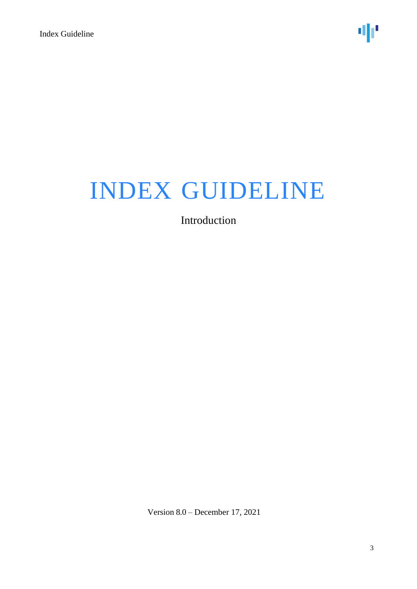Introduction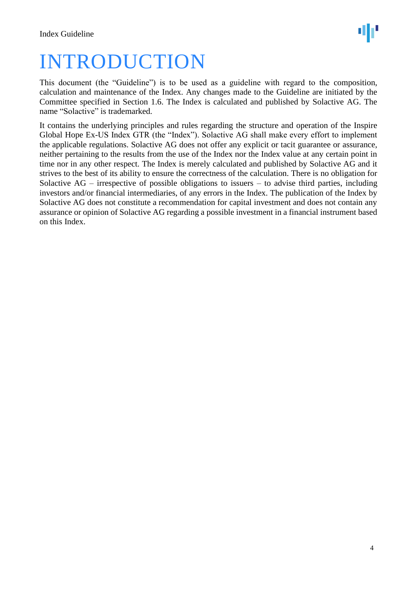## <span id="page-3-0"></span>INTRODUCTION

This document (the "Guideline") is to be used as a guideline with regard to the composition, calculation and maintenance of the Index. Any changes made to the Guideline are initiated by the Committee specified in Section 1.6. The Index is calculated and published by Solactive AG. The name "Solactive" is trademarked.

It contains the underlying principles and rules regarding the structure and operation of the Inspire Global Hope Ex-US Index GTR (the "Index"). Solactive AG shall make every effort to implement the applicable regulations. Solactive AG does not offer any explicit or tacit guarantee or assurance, neither pertaining to the results from the use of the Index nor the Index value at any certain point in time nor in any other respect. The Index is merely calculated and published by Solactive AG and it strives to the best of its ability to ensure the correctness of the calculation. There is no obligation for Solactive  $AG$  – irrespective of possible obligations to issuers – to advise third parties, including investors and/or financial intermediaries, of any errors in the Index. The publication of the Index by Solactive AG does not constitute a recommendation for capital investment and does not contain any assurance or opinion of Solactive AG regarding a possible investment in a financial instrument based on this Index.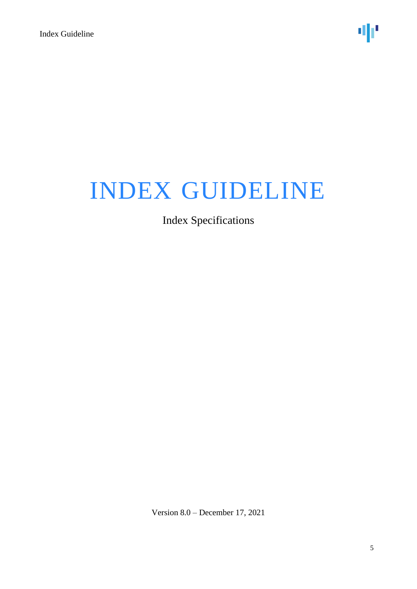## Index Specifications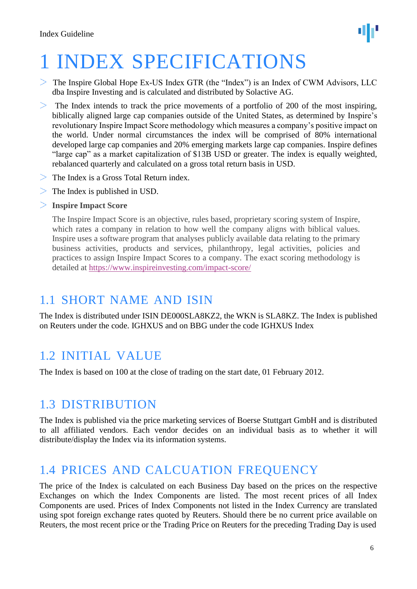

## <span id="page-5-0"></span>1 INDEX SPECIFICATIONS

- $\ge$  The Inspire Global Hope Ex-US Index GTR (the "Index") is an Index of CWM Advisors, LLC dba Inspire Investing and is calculated and distributed by Solactive AG.
- $>$  The Index intends to track the price movements of a portfolio of 200 of the most inspiring, biblically aligned large cap companies outside of the United States, as determined by Inspire's revolutionary Inspire Impact Score methodology which measures a company's positive impact on the world. Under normal circumstances the index will be comprised of 80% international developed large cap companies and 20% emerging markets large cap companies. Inspire defines "large cap" as a market capitalization of \$13B USD or greater. The index is equally weighted, rebalanced quarterly and calculated on a gross total return basis in USD.
- The Index is a Gross Total Return index.
- $\geq$  The Index is published in USD.
- **Inspire Impact Score**

The Inspire Impact Score is an objective, rules based, proprietary scoring system of Inspire, which rates a company in relation to how well the company aligns with biblical values. Inspire uses a software program that analyses publicly available data relating to the primary business activities, products and services, philanthropy, legal activities, policies and practices to assign Inspire Impact Scores to a company. The exact scoring methodology is detailed at<https://www.inspireinvesting.com/impact-score/>

## <span id="page-5-1"></span>1.1 SHORT NAME AND ISIN

The Index is distributed under ISIN DE000SLA8KZ2, the WKN is SLA8KZ. The Index is published on Reuters under the code. IGHXUS and on BBG under the code IGHXUS Index

## <span id="page-5-2"></span>1.2 INITIAL VALUE

The Index is based on 100 at the close of trading on the start date, 01 February 2012.

## <span id="page-5-3"></span>1.3 DISTRIBUTION

The Index is published via the price marketing services of Boerse Stuttgart GmbH and is distributed to all affiliated vendors. Each vendor decides on an individual basis as to whether it will distribute/display the Index via its information systems.

## <span id="page-5-4"></span>1.4 PRICES AND CALCUATION FREQUENCY

The price of the Index is calculated on each Business Day based on the prices on the respective Exchanges on which the Index Components are listed. The most recent prices of all Index Components are used. Prices of Index Components not listed in the Index Currency are translated using spot foreign exchange rates quoted by Reuters. Should there be no current price available on Reuters, the most recent price or the Trading Price on Reuters for the preceding Trading Day is used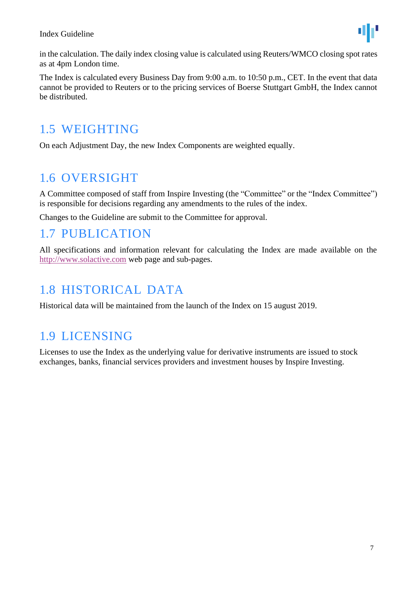

in the calculation. The daily index closing value is calculated using Reuters/WMCO closing spot rates as at 4pm London time.

The Index is calculated every Business Day from 9:00 a.m. to 10:50 p.m., CET. In the event that data cannot be provided to Reuters or to the pricing services of Boerse Stuttgart GmbH, the Index cannot be distributed.

## <span id="page-6-0"></span>1.5 WEIGHTING

On each Adjustment Day, the new Index Components are weighted equally.

## <span id="page-6-1"></span>1.6 OVERSIGHT

A Committee composed of staff from Inspire Investing (the "Committee" or the "Index Committee") is responsible for decisions regarding any amendments to the rules of the index.

Changes to the Guideline are submit to the Committee for approval.

### <span id="page-6-2"></span>1.7 PUBLICATION

All specifications and information relevant for calculating the Index are made available on the [http://www.solactive.com](http://www.solactive.com/) web page and sub-pages.

## <span id="page-6-3"></span>1.8 HISTORICAL DATA

Historical data will be maintained from the launch of the Index on 15 august 2019.

## <span id="page-6-4"></span>1.9 LICENSING

Licenses to use the Index as the underlying value for derivative instruments are issued to stock exchanges, banks, financial services providers and investment houses by Inspire Investing.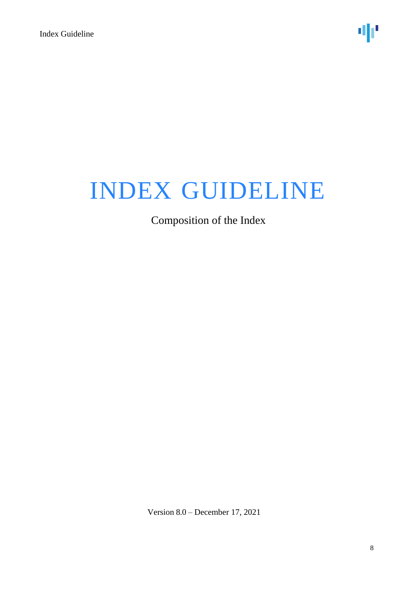Composition of the Index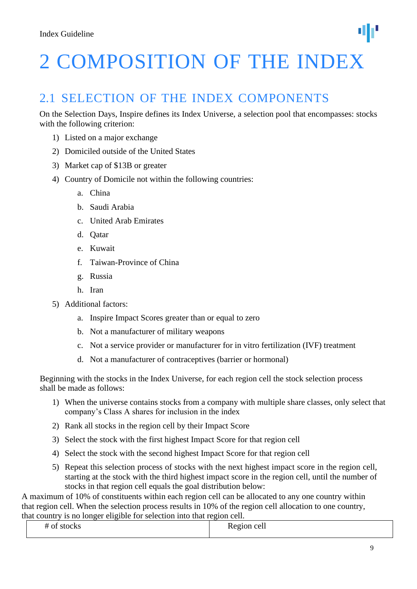# <span id="page-8-0"></span>2 COMPOSITION OF THE INDEX

## 2.1 SELECTION OF THE INDEX COMPONENTS

On the Selection Days, Inspire defines its Index Universe, a selection pool that encompasses: stocks with the following criterion:

- 1) Listed on a major exchange
- 2) Domiciled outside of the United States
- 3) Market cap of \$13B or greater
- 4) Country of Domicile not within the following countries:
	- a. China
	- b. Saudi Arabia
	- c. United Arab Emirates
	- d. Qatar
	- e. Kuwait
	- f. Taiwan-Province of China
	- g. Russia
	- h. Iran
- 5) Additional factors:
	- a. Inspire Impact Scores greater than or equal to zero
	- b. Not a manufacturer of military weapons
	- c. Not a service provider or manufacturer for in vitro fertilization (IVF) treatment
	- d. Not a manufacturer of contraceptives (barrier or hormonal)

Beginning with the stocks in the Index Universe, for each region cell the stock selection process shall be made as follows:

- 1) When the universe contains stocks from a company with multiple share classes, only select that company's Class A shares for inclusion in the index
- 2) Rank all stocks in the region cell by their Impact Score
- 3) Select the stock with the first highest Impact Score for that region cell
- 4) Select the stock with the second highest Impact Score for that region cell
- 5) Repeat this selection process of stocks with the next highest impact score in the region cell, starting at the stock with the third highest impact score in the region cell, until the number of stocks in that region cell equals the goal distribution below:

A maximum of 10% of constituents within each region cell can be allocated to any one country within that region cell. When the selection process results in 10% of the region cell allocation to one country, that country is no longer eligible for selection into that region cell.

| . | $\Omega$<br>$-0.11 - 0.011$<br>$\sim$<br>. . |  |
|---|----------------------------------------------|--|
|   |                                              |  |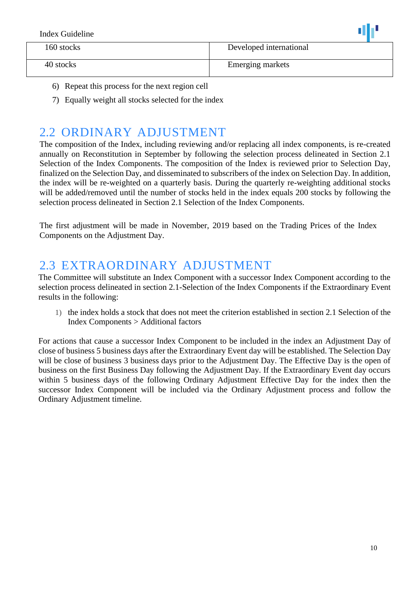| Index Guideline |                         |
|-----------------|-------------------------|
| 160 stocks      | Developed international |
| 40 stocks       | <b>Emerging markets</b> |

- 6) Repeat this process for the next region cell
- 7) Equally weight all stocks selected for the index

## <span id="page-9-0"></span>2.2 ORDINARY ADJUSTMENT

The composition of the Index, including reviewing and/or replacing all index components, is re-created annually on Reconstitution in September by following the selection process delineated in Section 2.1 Selection of the Index Components. The composition of the Index is reviewed prior to Selection Day, finalized on the Selection Day, and disseminated to subscribers of the index on Selection Day. In addition, the index will be re-weighted on a quarterly basis. During the quarterly re-weighting additional stocks will be added/removed until the number of stocks held in the index equals 200 stocks by following the selection process delineated in Section 2.1 Selection of the Index Components.

The first adjustment will be made in November, 2019 based on the Trading Prices of the Index Components on the Adjustment Day.

## <span id="page-9-1"></span>2.3 EXTRAORDINARY ADJUSTMENT

The Committee will substitute an Index Component with a successor Index Component according to the selection process delineated in section 2.1-Selection of the Index Components if the Extraordinary Event results in the following:

1) the index holds a stock that does not meet the criterion established in section 2.1 Selection of the Index Components > Additional factors

For actions that cause a successor Index Component to be included in the index an Adjustment Day of close of business 5 business days after the Extraordinary Event day will be established. The Selection Day will be close of business 3 business days prior to the Adjustment Day. The Effective Day is the open of business on the first Business Day following the Adjustment Day. If the Extraordinary Event day occurs within 5 business days of the following Ordinary Adjustment Effective Day for the index then the successor Index Component will be included via the Ordinary Adjustment process and follow the Ordinary Adjustment timeline.

- 80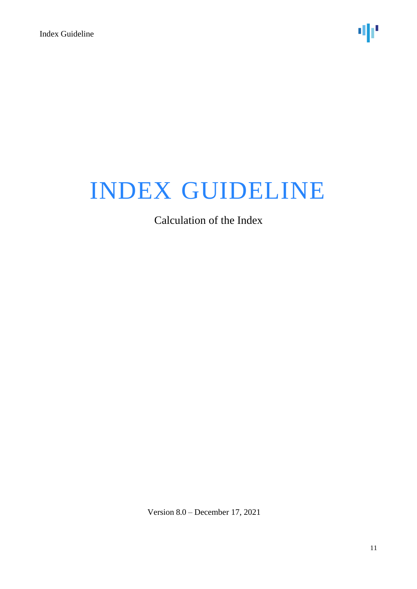Calculation of the Index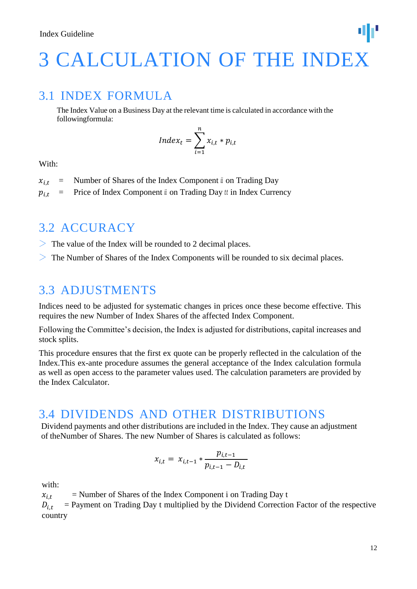## <span id="page-11-0"></span>3 CALCULATION OF THE INDEX

### 3.1 INDEX FORMULA

The Index Value on a Business Day at the relevant time is calculated in accordance with the followingformula:

$$
Index_t = \sum_{i=1}^{n} x_{i,t} * p_{i,t}
$$

With:

- $x_{i,t}$  = Number of Shares of the Index Component is on Trading Day
- $p_{i,t}$  = Price of Index Component  $\ddot{\theta}$  on Trading Day  $t\ddot{\theta}$  in Index Currency

## <span id="page-11-1"></span>3.2 ACCURACY

- $\geq$  The value of the Index will be rounded to 2 decimal places.
- $>$  The Number of Shares of the Index Components will be rounded to six decimal places.

### <span id="page-11-2"></span>3.3 ADJUSTMENTS

Indices need to be adjusted for systematic changes in prices once these become effective. This requires the new Number of Index Shares of the affected Index Component.

Following the Committee's decision, the Index is adjusted for distributions, capital increases and stock splits.

This procedure ensures that the first ex quote can be properly reflected in the calculation of the Index.This ex-ante procedure assumes the general acceptance of the Index calculation formula as well as open access to the parameter values used. The calculation parameters are provided by the Index Calculator.

### <span id="page-11-3"></span>3.4 DIVIDENDS AND OTHER DISTRIBUTIONS

Dividend payments and other distributions are included in the Index. They cause an adjustment of theNumber of Shares. The new Number of Shares is calculated as follows:

$$
x_{i,t} = x_{i,t-1} * \frac{p_{i,t-1}}{p_{i,t-1} - D_{i,t}}
$$

with:

 $x_{i,t}$  = Number of Shares of the Index Component i on Trading Day t

 $D_{i,t}$  = Payment on Trading Day t multiplied by the Dividend Correction Factor of the respective country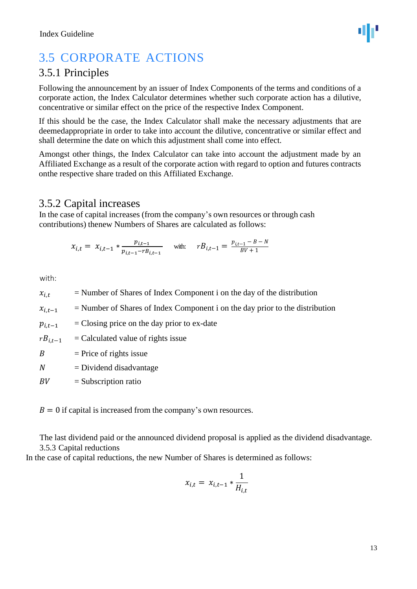## <span id="page-12-0"></span>3.5 CORPORATE ACTIONS

### 3.5.1 Principles

Following the announcement by an issuer of Index Components of the terms and conditions of a corporate action, the Index Calculator determines whether such corporate action has a dilutive, concentrative or similar effect on the price of the respective Index Component.

If this should be the case, the Index Calculator shall make the necessary adjustments that are deemedappropriate in order to take into account the dilutive, concentrative or similar effect and shall determine the date on which this adjustment shall come into effect.

Amongst other things, the Index Calculator can take into account the adjustment made by an Affiliated Exchange as a result of the corporate action with regard to option and futures contracts onthe respective share traded on this Affiliated Exchange.

 $\ddot{\phantom{0}}$ 

### <span id="page-12-1"></span>3.5.2 Capital increases

In the case of capital increases (from the company's own resources or through cash contributions) thenew Numbers of Shares are calculated as follows:

$$
x_{i,t} = x_{i,t-1} * \frac{p_{i,t-1}}{p_{i,t-1} - r_{i,t-1}} \quad \text{with:} \quad r_{i,t-1} = \frac{p_{i,t-1} - B - N}{BV + 1}
$$

with:

 $x_{i,t}$  = Number of Shares of Index Component i on the day of the distribution

 $x_{i,t-1}$  = Number of Shares of Index Component i on the day prior to the distribution

 $p_{i,t-1}$  = Closing price on the day prior to ex-date

 $rB_{it-1}$  = Calculated value of rights issue

 $B =$  Price of rights issue

- $N = Dividend$  disadvantage
- $BV =$ Subscription ratio

 $B = 0$  if capital is increased from the company's own resources.

The last dividend paid or the announced dividend proposal is applied as the dividend disadvantage. 3.5.3 Capital reductions

<span id="page-12-2"></span>In the case of capital reductions, the new Number of Shares is determined as follows:

$$
x_{i,t} = x_{i,t-1} * \frac{1}{H_{i,t}}
$$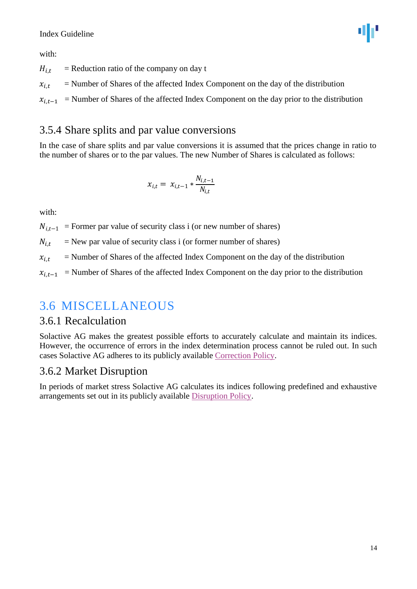#### Index Guideline

with:

ΦF

 $H_{i,t}$  = Reduction ratio of the company on day t

 $x_{i,t}$  = Number of Shares of the affected Index Component on the day of the distribution

 $x_{i,t-1}$  = Number of Shares of the affected Index Component on the day prior to the distribution

### <span id="page-13-0"></span>3.5.4 Share splits and par value conversions

In the case of share splits and par value conversions it is assumed that the prices change in ratio to the number of shares or to the par values. The new Number of Shares is calculated as follows:

$$
x_{i,t} = x_{i,t-1} * \frac{N_{i,t-1}}{N_{i,t}}
$$

with:

 $N_{i,t-1}$  = Former par value of security class i (or new number of shares)

 $N_{i,t}$  = New par value of security class i (or former number of shares)

 $x_{i,t}$  = Number of Shares of the affected Index Component on the day of the distribution

 $x_{i,t-1}$  = Number of Shares of the affected Index Component on the day prior to the distribution

### <span id="page-13-1"></span>3.6 MISCELLANEOUS

#### <span id="page-13-2"></span>3.6.1 Recalculation

Solactive AG makes the greatest possible efforts to accurately calculate and maintain its indices. However, the occurrence of errors in the index determination process cannot be ruled out. In such cases Solactive AG adheres to its publicly available [Correction Policy.](http://www.solactive.com/news/documents/)

#### <span id="page-13-3"></span>3.6.2 Market Disruption

In periods of market stress Solactive AG calculates its indices following predefined and exhaustive arrangements set out in its publicly available [Disruption Policy.](http://www.solactive.com/news/documents/)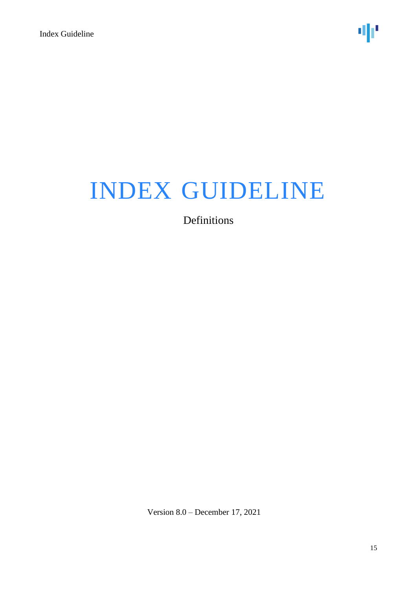Definitions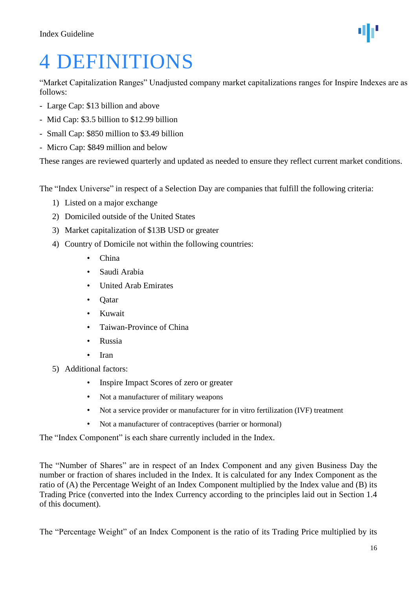## <span id="page-15-0"></span>4 DEFINITIONS

"Market Capitalization Ranges" Unadjusted company market capitalizations ranges for Inspire Indexes are as follows:

- Large Cap: \$13 billion and above
- Mid Cap: \$3.5 billion to \$12.99 billion
- Small Cap: \$850 million to \$3.49 billion
- Micro Cap: \$849 million and below

These ranges are reviewed quarterly and updated as needed to ensure they reflect current market conditions.

The "Index Universe" in respect of a Selection Day are companies that fulfill the following criteria:

- 1) Listed on a major exchange
- 2) Domiciled outside of the United States
- 3) Market capitalization of \$13B USD or greater
- 4) Country of Domicile not within the following countries:
	- China
	- Saudi Arabia
	- United Arab Emirates
	- Qatar
	- Kuwait
	- Taiwan-Province of China
	- Russia
	- Iran
- 5) Additional factors:
	- Inspire Impact Scores of zero or greater
	- Not a manufacturer of military weapons
	- Not a service provider or manufacturer for in vitro fertilization (IVF) treatment
	- Not a manufacturer of contraceptives (barrier or hormonal)

The "Index Component" is each share currently included in the Index.

The "Number of Shares" are in respect of an Index Component and any given Business Day the number or fraction of shares included in the Index. It is calculated for any Index Component as the ratio of (A) the Percentage Weight of an Index Component multiplied by the Index value and (B) its Trading Price (converted into the Index Currency according to the principles laid out in Section 1.4 of this document).

The "Percentage Weight" of an Index Component is the ratio of its Trading Price multiplied by its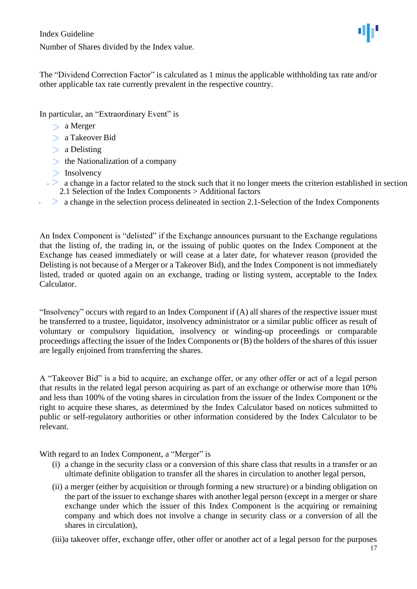Number of Shares divided by the Index value.

The "Dividend Correction Factor" is calculated as 1 minus the applicable withholding tax rate and/or other applicable tax rate currently prevalent in the respective country.

In particular, an "Extraordinary Event" is

- > a Merger
- a Takeover Bid
- > a Delisting
- $\geq$  the Nationalization of a company
- $>$  Insolvency
- a change in a factor related to the stock such that it no longer meets the criterion established in section 2.1 Selection of the Index Components > Additional factors
- $\geq$  a change in the selection process delineated in section 2.1-Selection of the Index Components

An Index Component is "delisted" if the Exchange announces pursuant to the Exchange regulations that the listing of, the trading in, or the issuing of public quotes on the Index Component at the Exchange has ceased immediately or will cease at a later date, for whatever reason (provided the Delisting is not because of a Merger or a Takeover Bid), and the Index Component is not immediately listed, traded or quoted again on an exchange, trading or listing system, acceptable to the Index Calculator.

"Insolvency" occurs with regard to an Index Component if (A) all shares of the respective issuer must be transferred to a trustee, liquidator, insolvency administrator or a similar public officer as result of voluntary or compulsory liquidation, insolvency or winding-up proceedings or comparable proceedings affecting the issuer of the Index Components or (B) the holders of the shares of this issuer are legally enjoined from transferring the shares.

A "Takeover Bid" is a bid to acquire, an exchange offer, or any other offer or act of a legal person that results in the related legal person acquiring as part of an exchange or otherwise more than 10% and less than 100% of the voting shares in circulation from the issuer of the Index Component or the right to acquire these shares, as determined by the Index Calculator based on notices submitted to public or self-regulatory authorities or other information considered by the Index Calculator to be relevant.

With regard to an Index Component, a "Merger" is

- (i) a change in the security class or a conversion of this share class that results in a transfer or an ultimate definite obligation to transfer all the shares in circulation to another legal person,
- (ii) a merger (either by acquisition or through forming a new structure) or a binding obligation on the part of the issuer to exchange shares with another legal person (except in a merger or share exchange under which the issuer of this Index Component is the acquiring or remaining company and which does not involve a change in security class or a conversion of all the shares in circulation),

(iii)a takeover offer, exchange offer, other offer or another act of a legal person for the purposes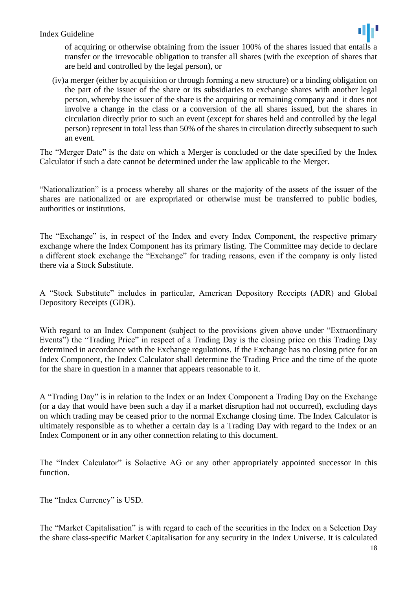#### Index Guideline



of acquiring or otherwise obtaining from the issuer 100% of the shares issued that entails a transfer or the irrevocable obligation to transfer all shares (with the exception of shares that are held and controlled by the legal person), or

(iv)a merger (either by acquisition or through forming a new structure) or a binding obligation on the part of the issuer of the share or its subsidiaries to exchange shares with another legal person, whereby the issuer of the share is the acquiring or remaining company and it does not involve a change in the class or a conversion of the all shares issued, but the shares in circulation directly prior to such an event (except for shares held and controlled by the legal person) represent in total less than 50% of the shares in circulation directly subsequent to such an event.

The "Merger Date" is the date on which a Merger is concluded or the date specified by the Index Calculator if such a date cannot be determined under the law applicable to the Merger.

"Nationalization" is a process whereby all shares or the majority of the assets of the issuer of the shares are nationalized or are expropriated or otherwise must be transferred to public bodies, authorities or institutions.

The "Exchange" is, in respect of the Index and every Index Component, the respective primary exchange where the Index Component has its primary listing. The Committee may decide to declare a different stock exchange the "Exchange" for trading reasons, even if the company is only listed there via a Stock Substitute.

A "Stock Substitute" includes in particular, American Depository Receipts (ADR) and Global Depository Receipts (GDR).

With regard to an Index Component (subject to the provisions given above under "Extraordinary Events") the "Trading Price" in respect of a Trading Day is the closing price on this Trading Day determined in accordance with the Exchange regulations. If the Exchange has no closing price for an Index Component, the Index Calculator shall determine the Trading Price and the time of the quote for the share in question in a manner that appears reasonable to it.

A "Trading Day" is in relation to the Index or an Index Component a Trading Day on the Exchange (or a day that would have been such a day if a market disruption had not occurred), excluding days on which trading may be ceased prior to the normal Exchange closing time. The Index Calculator is ultimately responsible as to whether a certain day is a Trading Day with regard to the Index or an Index Component or in any other connection relating to this document.

The "Index Calculator" is Solactive AG or any other appropriately appointed successor in this function.

The "Index Currency" is USD.

The "Market Capitalisation" is with regard to each of the securities in the Index on a Selection Day the share class-specific Market Capitalisation for any security in the Index Universe. It is calculated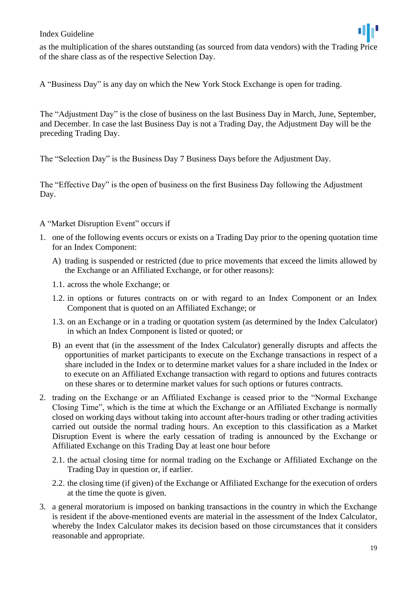#### Index Guideline



A "Business Day" is any day on which the New York Stock Exchange is open for trading.

The "Adjustment Day" is the close of business on the last Business Day in March, June, September, and December. In case the last Business Day is not a Trading Day, the Adjustment Day will be the preceding Trading Day.

The "Selection Day" is the Business Day 7 Business Days before the Adjustment Day.

The "Effective Day" is the open of business on the first Business Day following the Adjustment Day.

#### A "Market Disruption Event" occurs if

- 1. one of the following events occurs or exists on a Trading Day prior to the opening quotation time for an Index Component:
	- A) trading is suspended or restricted (due to price movements that exceed the limits allowed by the Exchange or an Affiliated Exchange, or for other reasons):
	- 1.1. across the whole Exchange; or
	- 1.2. in options or futures contracts on or with regard to an Index Component or an Index Component that is quoted on an Affiliated Exchange; or
	- 1.3. on an Exchange or in a trading or quotation system (as determined by the Index Calculator) in which an Index Component is listed or quoted; or
	- B) an event that (in the assessment of the Index Calculator) generally disrupts and affects the opportunities of market participants to execute on the Exchange transactions in respect of a share included in the Index or to determine market values for a share included in the Index or to execute on an Affiliated Exchange transaction with regard to options and futures contracts on these shares or to determine market values for such options or futures contracts.
- 2. trading on the Exchange or an Affiliated Exchange is ceased prior to the "Normal Exchange Closing Time", which is the time at which the Exchange or an Affiliated Exchange is normally closed on working days without taking into account after-hours trading or other trading activities carried out outside the normal trading hours. An exception to this classification as a Market Disruption Event is where the early cessation of trading is announced by the Exchange or Affiliated Exchange on this Trading Day at least one hour before
	- 2.1. the actual closing time for normal trading on the Exchange or Affiliated Exchange on the Trading Day in question or, if earlier.
	- 2.2. the closing time (if given) of the Exchange or Affiliated Exchange for the execution of orders at the time the quote is given.
- 3. a general moratorium is imposed on banking transactions in the country in which the Exchange is resident if the above-mentioned events are material in the assessment of the Index Calculator, whereby the Index Calculator makes its decision based on those circumstances that it considers reasonable and appropriate.